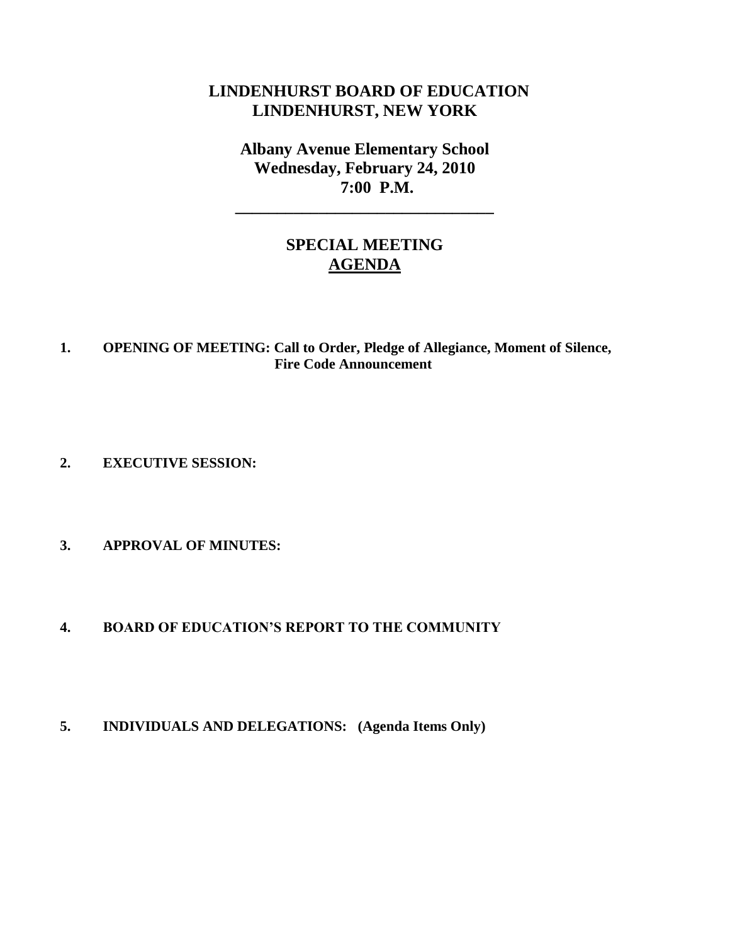# **LINDENHURST BOARD OF EDUCATION LINDENHURST, NEW YORK**

**Albany Avenue Elementary School Wednesday, February 24, 2010 7:00 P.M.**

**\_\_\_\_\_\_\_\_\_\_\_\_\_\_\_\_\_\_\_\_\_\_\_\_\_\_\_\_\_\_\_**

# **SPECIAL MEETING AGENDA**

### **1. OPENING OF MEETING: Call to Order, Pledge of Allegiance, Moment of Silence, Fire Code Announcement**

**2. EXECUTIVE SESSION:**

### **3. APPROVAL OF MINUTES:**

#### **4. BOARD OF EDUCATION'S REPORT TO THE COMMUNITY**

**5. INDIVIDUALS AND DELEGATIONS: (Agenda Items Only)**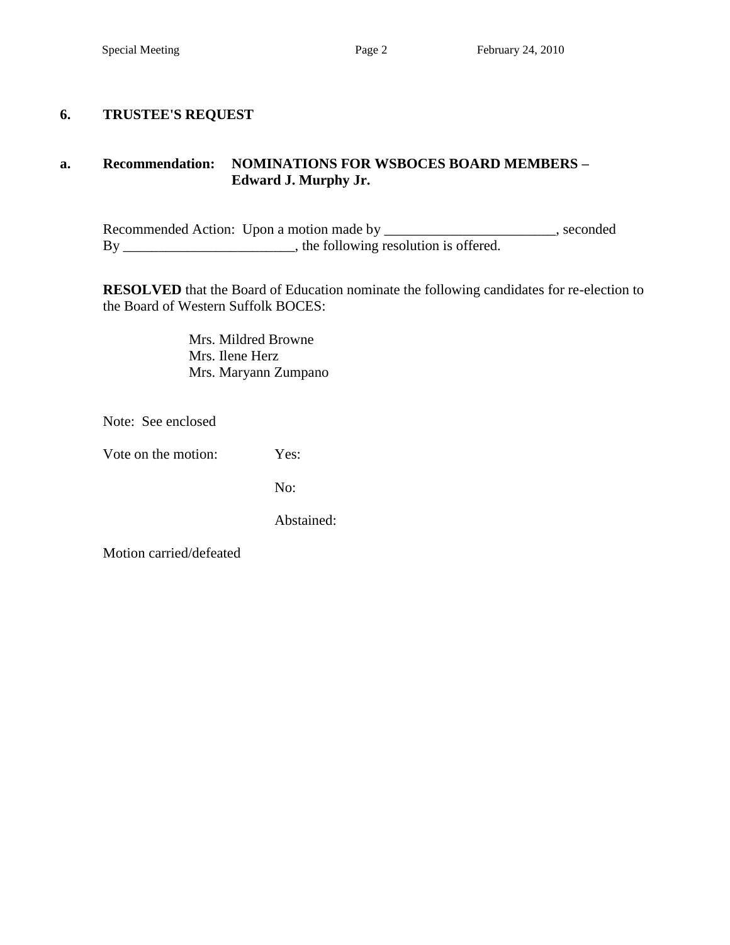### **6. TRUSTEE'S REQUEST**

### **a. Recommendation: NOMINATIONS FOR WSBOCES BOARD MEMBERS – Edward J. Murphy Jr.**

Recommended Action: Upon a motion made by \_\_\_\_\_\_\_\_\_\_\_\_\_\_\_\_\_\_\_\_\_\_\_, seconded By \_\_\_\_\_\_\_\_\_\_\_\_\_\_\_\_\_\_\_\_\_\_\_, the following resolution is offered.

**RESOLVED** that the Board of Education nominate the following candidates for re-election to the Board of Western Suffolk BOCES:

> Mrs. Mildred Browne Mrs. Ilene Herz Mrs. Maryann Zumpano

Note: See enclosed

Vote on the motion: Yes:

No:

Abstained: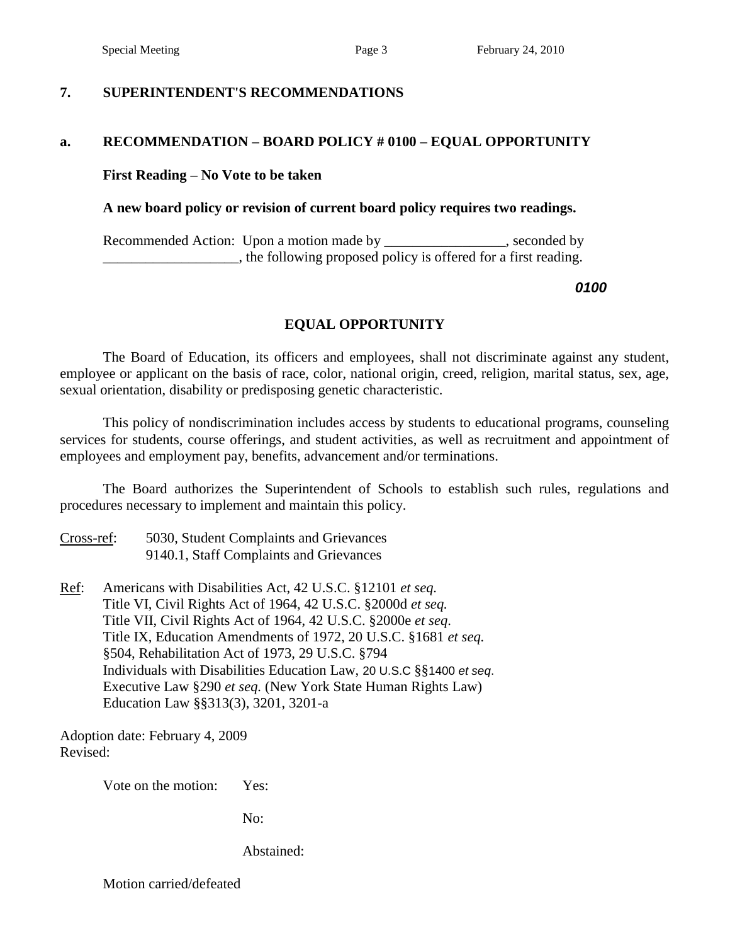### **7. SUPERINTENDENT'S RECOMMENDATIONS**

### **a. RECOMMENDATION – BOARD POLICY # 0100 – EQUAL OPPORTUNITY**

#### **First Reading – No Vote to be taken**

#### **A new board policy or revision of current board policy requires two readings.**

Recommended Action: Upon a motion made by \_\_\_\_\_\_\_\_\_\_\_\_\_\_\_\_, seconded by \_\_\_\_\_\_\_\_\_\_\_\_\_\_\_\_\_\_\_, the following proposed policy is offered for a first reading.

*0100*

### **EQUAL OPPORTUNITY**

The Board of Education, its officers and employees, shall not discriminate against any student, employee or applicant on the basis of race, color, national origin, creed, religion, marital status, sex, age, sexual orientation, disability or predisposing genetic characteristic.

This policy of nondiscrimination includes access by students to educational programs, counseling services for students, course offerings, and student activities, as well as recruitment and appointment of employees and employment pay, benefits, advancement and/or terminations.

The Board authorizes the Superintendent of Schools to establish such rules, regulations and procedures necessary to implement and maintain this policy.

### Cross-ref: 5030, Student Complaints and Grievances 9140.1, Staff Complaints and Grievances

Ref: Americans with Disabilities Act, 42 U.S.C. §12101 *et seq.* Title VI, Civil Rights Act of 1964, 42 U.S.C. §2000d *et seq.* Title VII, Civil Rights Act of 1964, 42 U.S.C. §2000e *et seq*. Title IX, Education Amendments of 1972, 20 U.S.C. §1681 *et seq.* §504, Rehabilitation Act of 1973, 29 U.S.C. §794 Individuals with Disabilities Education Law, 20 U.S.C §§1400 *et seq*. Executive Law §290 *et seq.* (New York State Human Rights Law) Education Law §§313(3), 3201, 3201-a

Adoption date: February 4, 2009 Revised:

Vote on the motion: Yes:

No:

Abstained: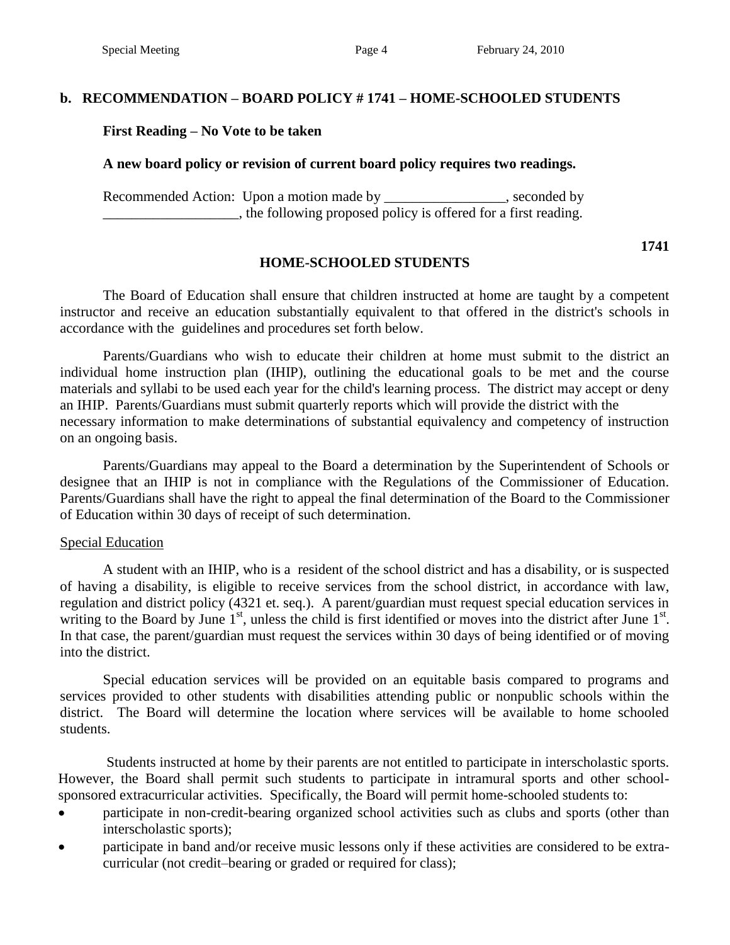### **b. RECOMMENDATION – BOARD POLICY # 1741 – HOME-SCHOOLED STUDENTS**

#### **First Reading – No Vote to be taken**

#### **A new board policy or revision of current board policy requires two readings.**

Recommended Action: Upon a motion made by \_\_\_\_\_\_\_\_\_\_\_\_\_\_\_, seconded by \_\_\_\_\_\_\_\_\_\_\_\_\_\_\_\_\_\_\_, the following proposed policy is offered for a first reading.

#### **1741**

#### **HOME-SCHOOLED STUDENTS**

The Board of Education shall ensure that children instructed at home are taught by a competent instructor and receive an education substantially equivalent to that offered in the district's schools in accordance with the guidelines and procedures set forth below.

Parents/Guardians who wish to educate their children at home must submit to the district an individual home instruction plan (IHIP), outlining the educational goals to be met and the course materials and syllabi to be used each year for the child's learning process. The district may accept or deny an IHIP. Parents/Guardians must submit quarterly reports which will provide the district with the necessary information to make determinations of substantial equivalency and competency of instruction on an ongoing basis.

Parents/Guardians may appeal to the Board a determination by the Superintendent of Schools or designee that an IHIP is not in compliance with the Regulations of the Commissioner of Education. Parents/Guardians shall have the right to appeal the final determination of the Board to the Commissioner of Education within 30 days of receipt of such determination.

#### Special Education

A student with an IHIP, who is a resident of the school district and has a disability, or is suspected of having a disability, is eligible to receive services from the school district, in accordance with law, regulation and district policy (4321 et. seq.). A parent/guardian must request special education services in writing to the Board by June  $1<sup>st</sup>$ , unless the child is first identified or moves into the district after June  $1<sup>st</sup>$ . In that case, the parent/guardian must request the services within 30 days of being identified or of moving into the district.

Special education services will be provided on an equitable basis compared to programs and services provided to other students with disabilities attending public or nonpublic schools within the district. The Board will determine the location where services will be available to home schooled students.

Students instructed at home by their parents are not entitled to participate in interscholastic sports. However, the Board shall permit such students to participate in intramural sports and other schoolsponsored extracurricular activities. Specifically, the Board will permit home-schooled students to:

- participate in non-credit-bearing organized school activities such as clubs and sports (other than interscholastic sports);
- participate in band and/or receive music lessons only if these activities are considered to be extracurricular (not credit–bearing or graded or required for class);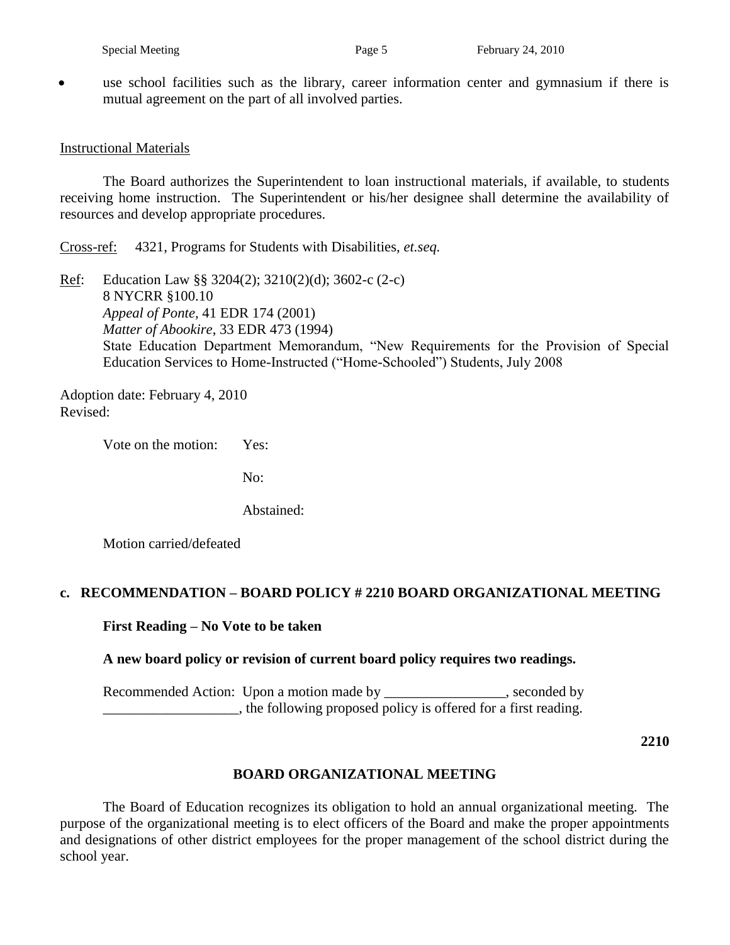use school facilities such as the library, career information center and gymnasium if there is mutual agreement on the part of all involved parties.

#### Instructional Materials

The Board authorizes the Superintendent to loan instructional materials, if available, to students receiving home instruction. The Superintendent or his/her designee shall determine the availability of resources and develop appropriate procedures.

Cross-ref: 4321, Programs for Students with Disabilities, *et.seq.*

Ref: Education Law §§ 3204(2); 3210(2)(d); 3602-c (2-c) 8 NYCRR §100.10 *Appeal of Ponte,* 41 EDR 174 (2001) *Matter of Abookire*, 33 EDR 473 (1994) State Education Department Memorandum, "New Requirements for the Provision of Special Education Services to Home-Instructed ("Home-Schooled") Students, July 2008

Adoption date: February 4, 2010 Revised:

Vote on the motion: Yes:

No:

Abstained:

Motion carried/defeated

#### **c. RECOMMENDATION – BOARD POLICY # 2210 BOARD ORGANIZATIONAL MEETING**

**First Reading – No Vote to be taken**

### **A new board policy or revision of current board policy requires two readings.**

Recommended Action: Upon a motion made by seconded by seconded by \_\_\_\_\_\_\_\_\_\_\_\_\_\_\_\_\_\_\_, the following proposed policy is offered for a first reading.

**2210**

### **BOARD ORGANIZATIONAL MEETING**

The Board of Education recognizes its obligation to hold an annual organizational meeting. The purpose of the organizational meeting is to elect officers of the Board and make the proper appointments and designations of other district employees for the proper management of the school district during the school year.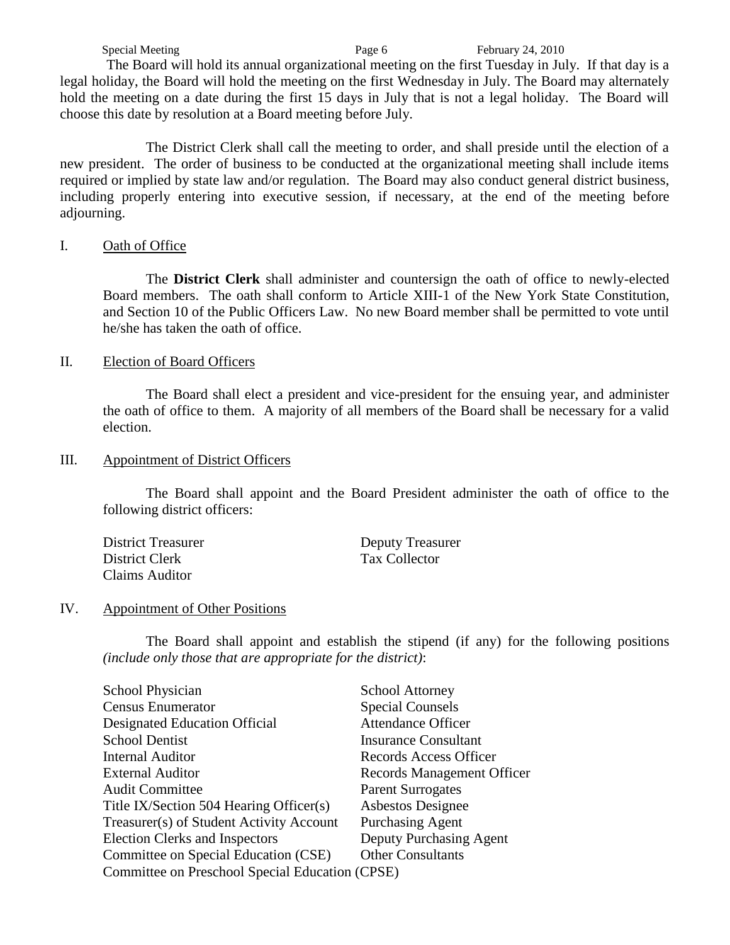Special Meeting **Page 6** February 24, 2010 The Board will hold its annual organizational meeting on the first Tuesday in July. If that day is a legal holiday, the Board will hold the meeting on the first Wednesday in July. The Board may alternately hold the meeting on a date during the first 15 days in July that is not a legal holiday. The Board will choose this date by resolution at a Board meeting before July.

The District Clerk shall call the meeting to order, and shall preside until the election of a new president. The order of business to be conducted at the organizational meeting shall include items required or implied by state law and/or regulation. The Board may also conduct general district business, including properly entering into executive session, if necessary, at the end of the meeting before adjourning.

#### I. Oath of Office

The **District Clerk** shall administer and countersign the oath of office to newly-elected Board members. The oath shall conform to Article XIII-1 of the New York State Constitution, and Section 10 of the Public Officers Law. No new Board member shall be permitted to vote until he/she has taken the oath of office.

#### II. Election of Board Officers

The Board shall elect a president and vice-president for the ensuing year, and administer the oath of office to them. A majority of all members of the Board shall be necessary for a valid election.

#### III. Appointment of District Officers

The Board shall appoint and the Board President administer the oath of office to the following district officers:

| <b>District Treasurer</b> | Deputy Treasurer |
|---------------------------|------------------|
| District Clerk            | Tax Collector    |
| Claims Auditor            |                  |

#### IV. Appointment of Other Positions

The Board shall appoint and establish the stipend (if any) for the following positions *(include only those that are appropriate for the district)*:

| <b>School Physician</b>                         | <b>School Attorney</b>      |
|-------------------------------------------------|-----------------------------|
| <b>Census Enumerator</b>                        | <b>Special Counsels</b>     |
| <b>Designated Education Official</b>            | <b>Attendance Officer</b>   |
| <b>School Dentist</b>                           | <b>Insurance Consultant</b> |
| <b>Internal Auditor</b>                         | Records Access Officer      |
| <b>External Auditor</b>                         | Records Management Officer  |
| <b>Audit Committee</b>                          | <b>Parent Surrogates</b>    |
| Title IX/Section 504 Hearing Officer(s)         | Asbestos Designee           |
| Treasurer(s) of Student Activity Account        | <b>Purchasing Agent</b>     |
| <b>Election Clerks and Inspectors</b>           | Deputy Purchasing Agent     |
| Committee on Special Education (CSE)            | <b>Other Consultants</b>    |
| Committee on Preschool Special Education (CPSE) |                             |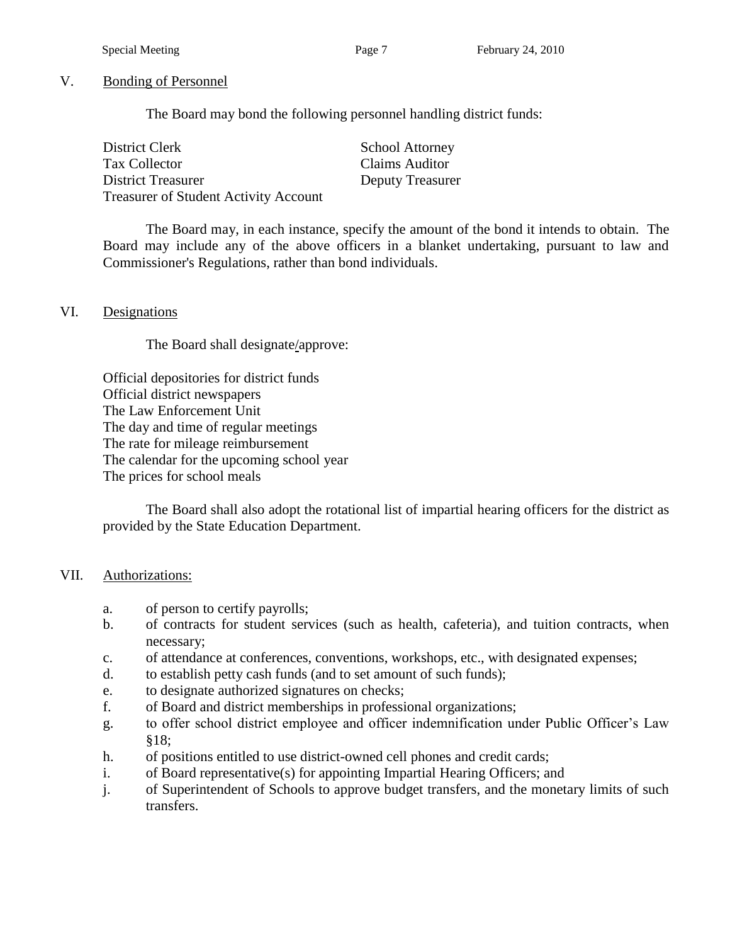#### V. Bonding of Personnel

The Board may bond the following personnel handling district funds:

| District Clerk                               | <b>School Attorney</b> |
|----------------------------------------------|------------------------|
| Tax Collector                                | <b>Claims Auditor</b>  |
| <b>District Treasurer</b>                    | Deputy Treasurer       |
| <b>Treasurer of Student Activity Account</b> |                        |

The Board may, in each instance, specify the amount of the bond it intends to obtain. The Board may include any of the above officers in a blanket undertaking, pursuant to law and Commissioner's Regulations, rather than bond individuals.

#### VI. Designations

The Board shall designate/approve:

Official depositories for district funds Official district newspapers The Law Enforcement Unit The day and time of regular meetings The rate for mileage reimbursement The calendar for the upcoming school year The prices for school meals

The Board shall also adopt the rotational list of impartial hearing officers for the district as provided by the State Education Department.

#### VII. Authorizations:

- a. of person to certify payrolls;
- b. of contracts for student services (such as health, cafeteria), and tuition contracts, when necessary;
- c. of attendance at conferences, conventions, workshops, etc., with designated expenses;
- d. to establish petty cash funds (and to set amount of such funds);
- e. to designate authorized signatures on checks;
- f. of Board and district memberships in professional organizations;
- g. to offer school district employee and officer indemnification under Public Officer's Law §18;
- h. of positions entitled to use district-owned cell phones and credit cards;
- i. of Board representative(s) for appointing Impartial Hearing Officers; and
- j. of Superintendent of Schools to approve budget transfers, and the monetary limits of such transfers.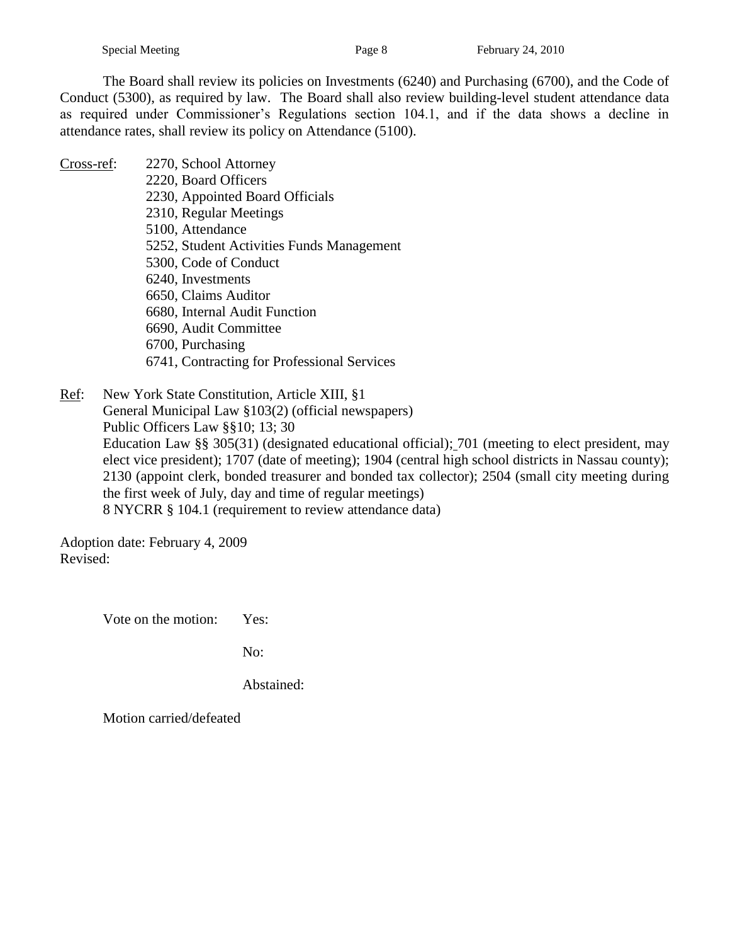The Board shall review its policies on Investments (6240) and Purchasing (6700), and the Code of Conduct (5300), as required by law. The Board shall also review building-level student attendance data as required under Commissioner's Regulations section 104.1, and if the data shows a decline in attendance rates, shall review its policy on Attendance (5100).

- Cross-ref: 2270, School Attorney
	- 2220, Board Officers 2230, Appointed Board Officials 2310, Regular Meetings 5100, Attendance 5252, Student Activities Funds Management 5300, Code of Conduct 6240, Investments 6650, Claims Auditor 6680, Internal Audit Function 6690, Audit Committee 6700, Purchasing 6741, Contracting for Professional Services

Ref: New York State Constitution, Article XIII, §1 General Municipal Law §103(2) (official newspapers) Public Officers Law §§10; 13; 30 Education Law §§ 305(31) (designated educational official); 701 (meeting to elect president, may elect vice president); 1707 (date of meeting); 1904 (central high school districts in Nassau county); 2130 (appoint clerk, bonded treasurer and bonded tax collector); 2504 (small city meeting during the first week of July, day and time of regular meetings) 8 NYCRR § 104.1 (requirement to review attendance data)

Adoption date: February 4, 2009 Revised:

Vote on the motion: Yes:

No:

Abstained: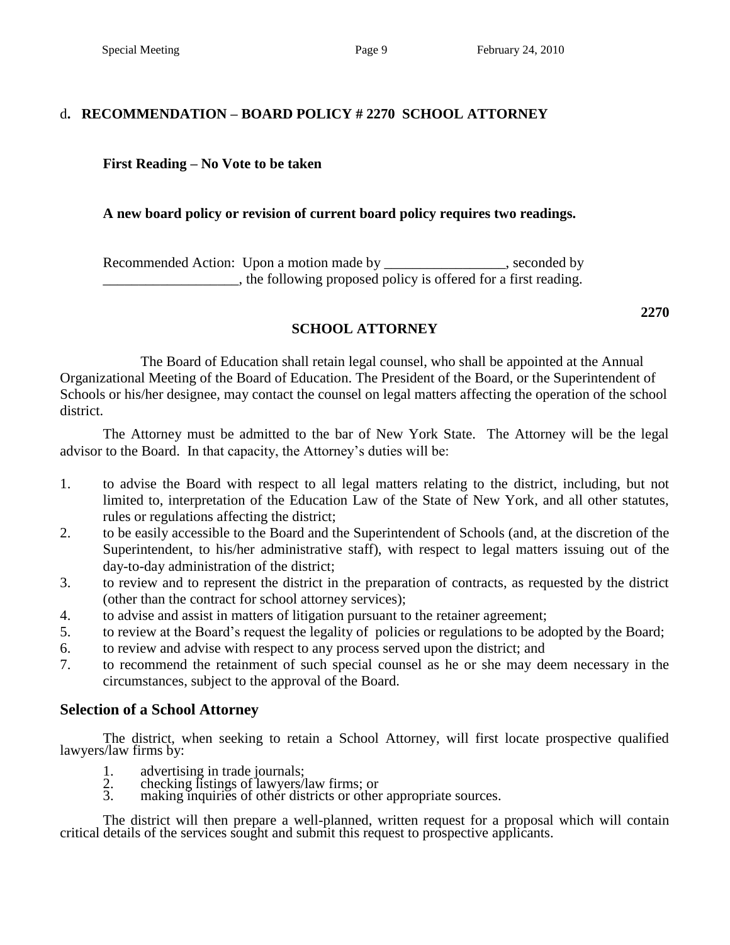# d**. RECOMMENDATION – BOARD POLICY # 2270 SCHOOL ATTORNEY**

# **First Reading – No Vote to be taken**

# **A new board policy or revision of current board policy requires two readings.**

Recommended Action: Upon a motion made by \_\_\_\_\_\_\_\_\_\_\_\_\_\_, seconded by \_\_\_\_\_\_\_\_\_\_\_\_\_\_\_\_\_\_\_, the following proposed policy is offered for a first reading.

# **SCHOOL ATTORNEY**

The Board of Education shall retain legal counsel, who shall be appointed at the Annual Organizational Meeting of the Board of Education. The President of the Board, or the Superintendent of Schools or his/her designee, may contact the counsel on legal matters affecting the operation of the school district.

The Attorney must be admitted to the bar of New York State. The Attorney will be the legal advisor to the Board. In that capacity, the Attorney's duties will be:

- 1. to advise the Board with respect to all legal matters relating to the district, including, but not limited to, interpretation of the Education Law of the State of New York, and all other statutes, rules or regulations affecting the district;
- 2. to be easily accessible to the Board and the Superintendent of Schools (and, at the discretion of the Superintendent, to his/her administrative staff), with respect to legal matters issuing out of the day-to-day administration of the district;
- 3. to review and to represent the district in the preparation of contracts, as requested by the district (other than the contract for school attorney services);
- 4. to advise and assist in matters of litigation pursuant to the retainer agreement;
- 5. to review at the Board's request the legality of policies or regulations to be adopted by the Board;
- 6. to review and advise with respect to any process served upon the district; and
- 7. to recommend the retainment of such special counsel as he or she may deem necessary in the circumstances, subject to the approval of the Board.

# **Selection of a School Attorney**

The district, when seeking to retain a School Attorney, will first locate prospective qualified lawyers/law firms by:

- 1. advertising in trade journals;
- 2. checking listings of lawyers/law firms; or
- 3. making inquiries of other districts or other appropriate sources.

The district will then prepare a well-planned, written request for a proposal which will contain critical details of the services sought and submit this request to prospective applicants.

**2270**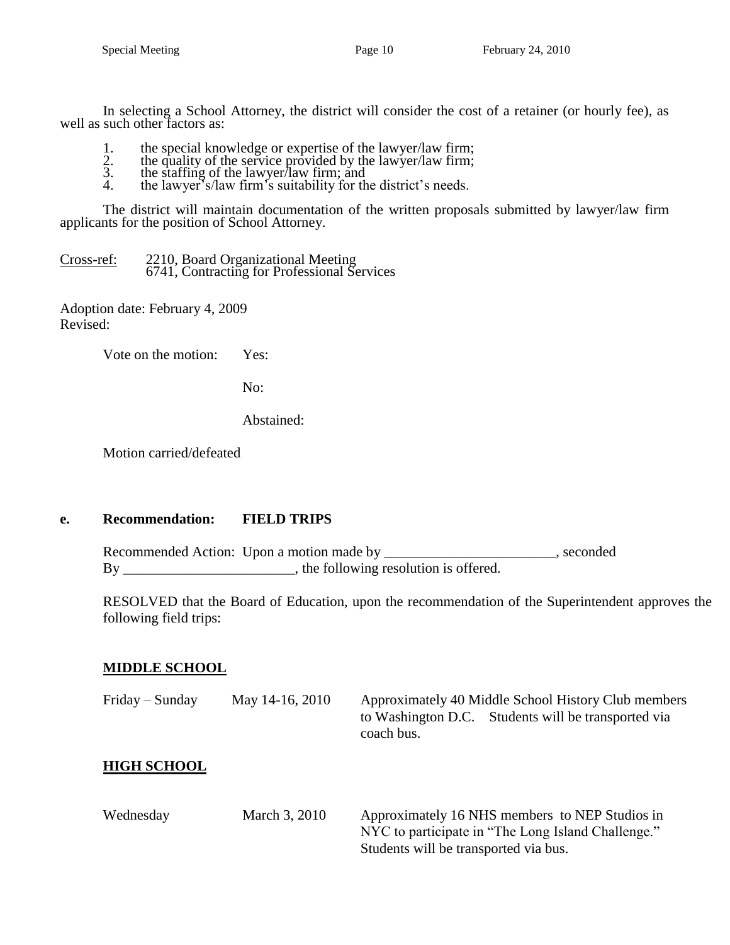In selecting a School Attorney, the district will consider the cost of a retainer (or hourly fee), as well as such other factors as:

- 1. the special knowledge or expertise of the lawyer/law firm;
- 2. the quality of the service provided by the lawyer/law firm;
- 3. the staffing of the lawyer/law firm; and
- 4. the lawyer<sup>'s</sup> s/law firm's suitability for the district's needs.

The district will maintain documentation of the written proposals submitted by lawyer/law firm applicants for the position of School Attorney.

Cross-ref: 2210, Board Organizational Meeting 6741, Contracting for Professional Services

Adoption date: February 4, 2009 Revised:

Vote on the motion: Yes:

No:

Abstained:

Motion carried/defeated

### **e. Recommendation: FIELD TRIPS**

Recommended Action: Upon a motion made by \_\_\_\_\_\_\_\_\_\_\_\_\_\_\_\_\_\_\_\_\_\_\_\_, seconded By \_\_\_\_\_\_\_\_\_\_\_\_\_\_\_\_\_\_\_\_\_\_\_, the following resolution is offered.

RESOLVED that the Board of Education, upon the recommendation of the Superintendent approves the following field trips:

### **MIDDLE SCHOOL**

| Friday – Sunday    | May 14-16, 2010 | Approximately 40 Middle School History Club members<br>to Washington D.C. Students will be transported via<br>coach bus.                      |
|--------------------|-----------------|-----------------------------------------------------------------------------------------------------------------------------------------------|
| <b>HIGH SCHOOL</b> |                 |                                                                                                                                               |
| Wednesday          | March 3, 2010   | Approximately 16 NHS members to NEP Studios in<br>NYC to participate in "The Long Island Challenge."<br>Students will be transported via bus. |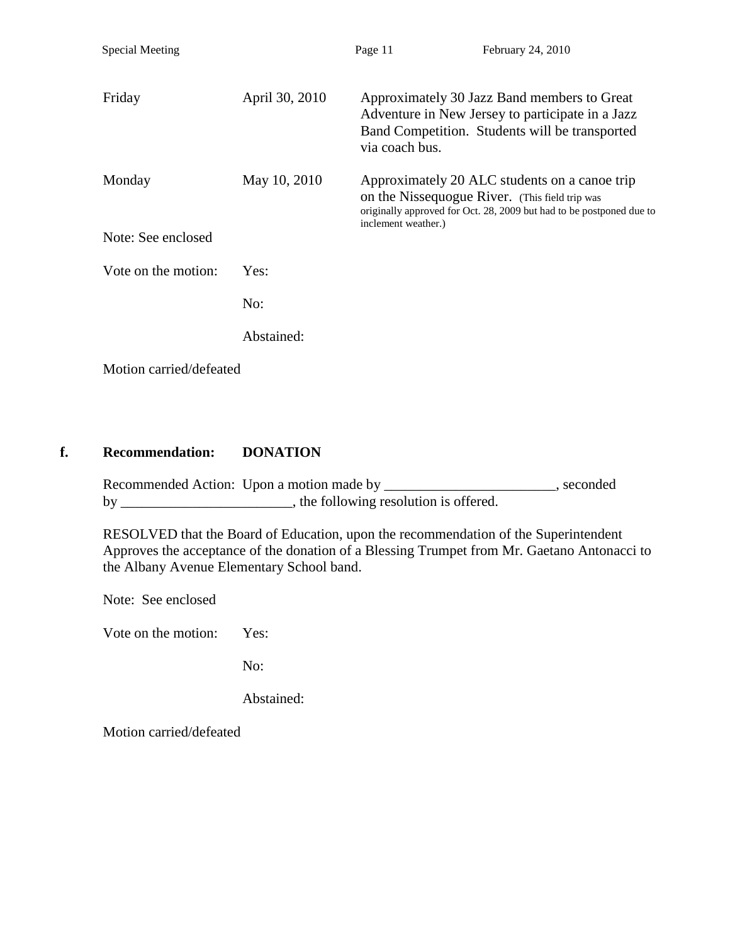| <b>Special Meeting</b>  |                | Page 11             | February 24, 2010                                                                                                                                                       |
|-------------------------|----------------|---------------------|-------------------------------------------------------------------------------------------------------------------------------------------------------------------------|
| Friday                  | April 30, 2010 | via coach bus.      | Approximately 30 Jazz Band members to Great<br>Adventure in New Jersey to participate in a Jazz<br>Band Competition. Students will be transported                       |
| Monday                  | May 10, 2010   | inclement weather.) | Approximately 20 ALC students on a canoe trip<br>on the Nissequogue River. (This field trip was<br>originally approved for Oct. 28, 2009 but had to be postponed due to |
| Note: See enclosed      |                |                     |                                                                                                                                                                         |
| Vote on the motion:     | Yes:           |                     |                                                                                                                                                                         |
|                         | No:            |                     |                                                                                                                                                                         |
|                         | Abstained:     |                     |                                                                                                                                                                         |
| Motion carried/defeated |                |                     |                                                                                                                                                                         |

### **f. Recommendation: DONATION**

Recommended Action: Upon a motion made by \_\_\_\_\_\_\_\_\_\_\_\_\_\_\_\_\_\_\_\_\_\_\_, seconded by \_\_\_\_\_\_\_\_\_\_\_\_\_\_\_\_\_\_\_\_\_, the following resolution is offered.

RESOLVED that the Board of Education, upon the recommendation of the Superintendent Approves the acceptance of the donation of a Blessing Trumpet from Mr. Gaetano Antonacci to the Albany Avenue Elementary School band.

Note: See enclosed

Vote on the motion: Yes:

No:

Abstained: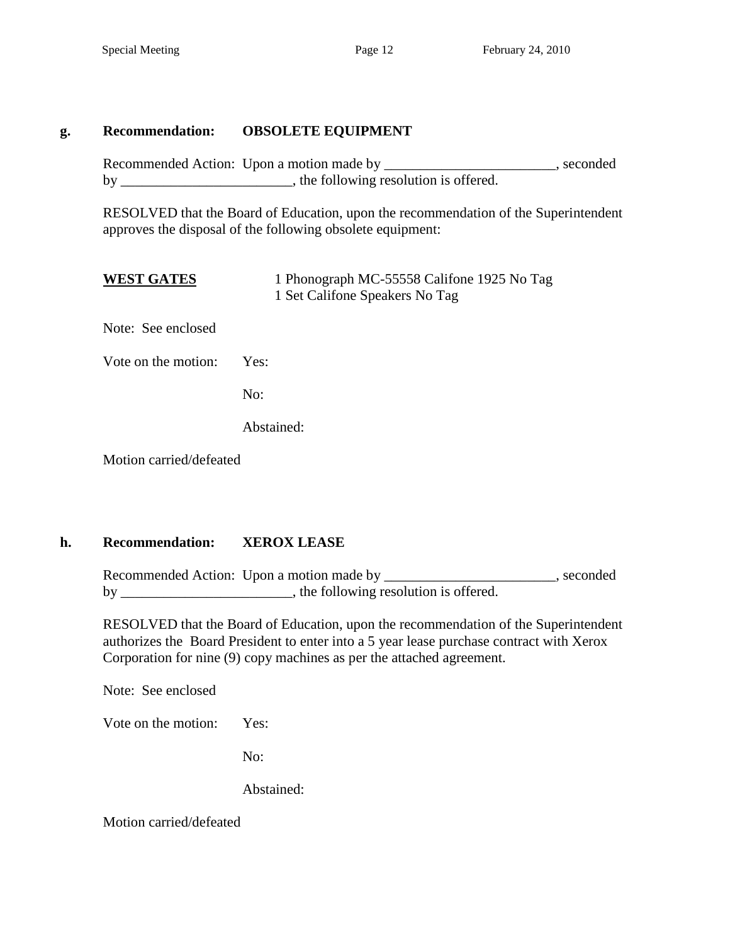### **g. Recommendation: OBSOLETE EQUIPMENT**

Recommended Action: Upon a motion made by \_\_\_\_\_\_\_\_\_\_\_\_\_\_\_\_\_\_\_\_\_\_\_, seconded by \_\_\_\_\_\_\_\_\_\_\_\_\_\_\_\_\_\_\_\_\_\_, the following resolution is offered.

RESOLVED that the Board of Education, upon the recommendation of the Superintendent approves the disposal of the following obsolete equipment:

| <b>WEST GATES</b> | 1 Phonograph MC-55558 Califone 1925 No Tag |
|-------------------|--------------------------------------------|
|                   | 1 Set Califone Speakers No Tag             |

Note: See enclosed

Vote on the motion: Yes:

No:

Abstained:

Motion carried/defeated

### **h. Recommendation: XEROX LEASE**

Recommended Action: Upon a motion made by \_\_\_\_\_\_\_\_\_\_\_\_\_\_\_\_\_\_\_\_\_\_\_, seconded by \_\_\_\_\_\_\_\_\_\_\_\_\_\_\_\_\_\_\_\_\_\_\_, the following resolution is offered.

RESOLVED that the Board of Education, upon the recommendation of the Superintendent authorizes the Board President to enter into a 5 year lease purchase contract with Xerox Corporation for nine (9) copy machines as per the attached agreement.

Note: See enclosed

Vote on the motion: Yes:

No:

Abstained: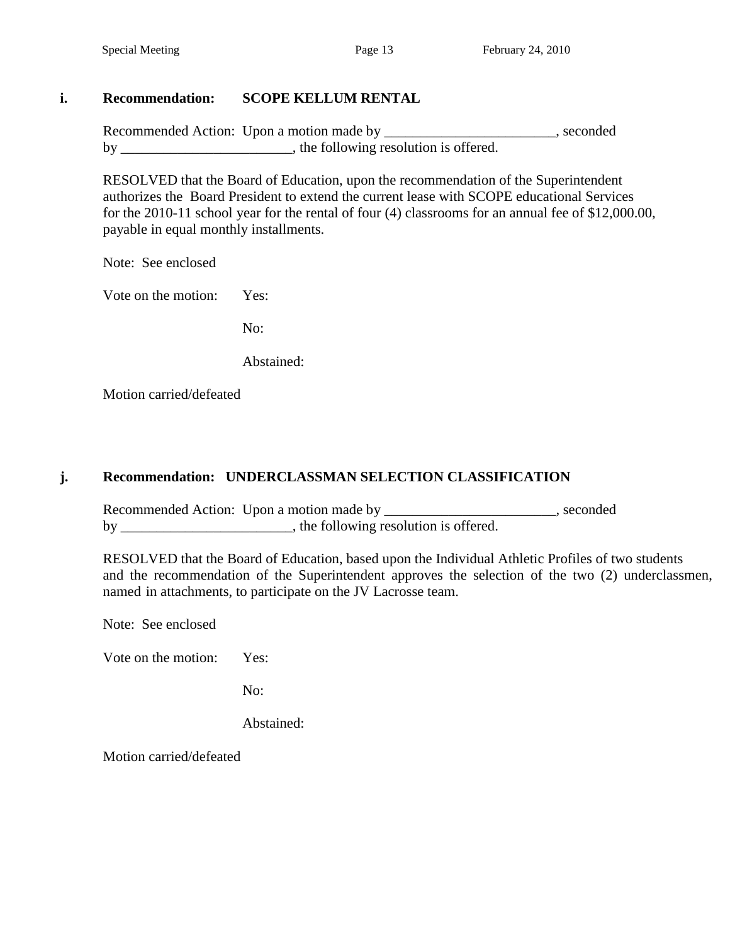### **i. Recommendation: SCOPE KELLUM RENTAL**

Recommended Action: Upon a motion made by \_\_\_\_\_\_\_\_\_\_\_\_\_\_\_\_\_\_\_\_\_\_, seconded by \_\_\_\_\_\_\_\_\_\_\_\_\_\_\_\_\_\_\_\_\_\_, the following resolution is offered.

RESOLVED that the Board of Education, upon the recommendation of the Superintendent authorizes the Board President to extend the current lease with SCOPE educational Services for the 2010-11 school year for the rental of four (4) classrooms for an annual fee of \$12,000.00, payable in equal monthly installments.

Note: See enclosed

Vote on the motion: Yes:

No:

Abstained:

Motion carried/defeated

### **j. Recommendation: UNDERCLASSMAN SELECTION CLASSIFICATION**

Recommended Action: Upon a motion made by \_\_\_\_\_\_\_\_\_\_\_\_\_\_\_\_\_\_\_\_\_\_, seconded by \_\_\_\_\_\_\_\_\_\_\_\_\_\_\_\_\_\_\_\_\_\_, the following resolution is offered.

RESOLVED that the Board of Education, based upon the Individual Athletic Profiles of two students and the recommendation of the Superintendent approves the selection of the two (2) underclassmen, named in attachments, to participate on the JV Lacrosse team.

Note: See enclosed

Vote on the motion: Yes:

No:

Abstained: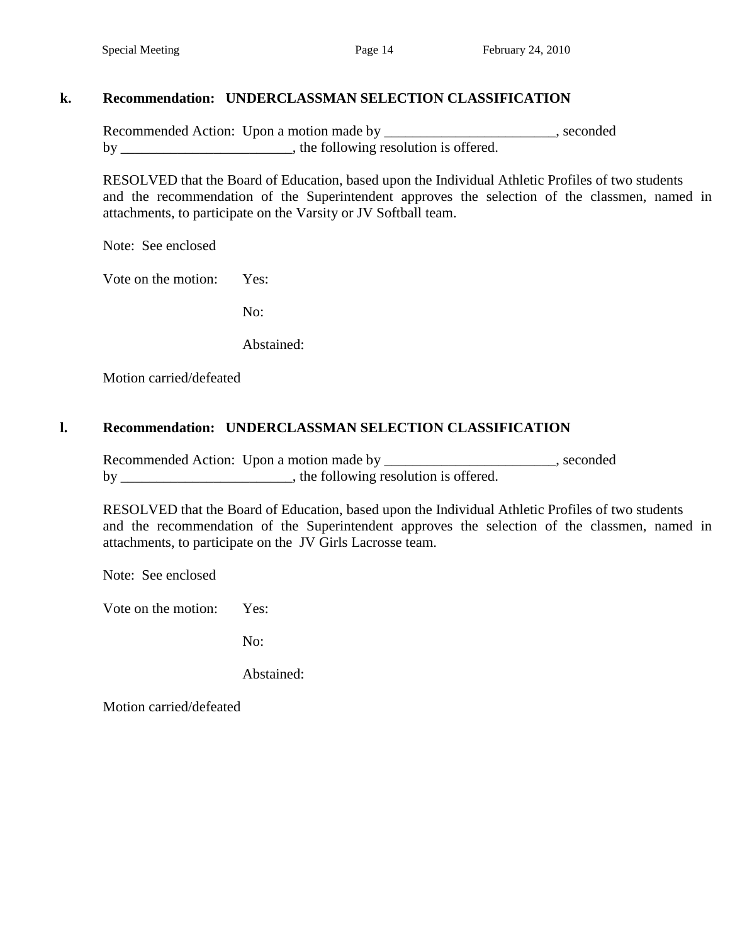### **k. Recommendation: UNDERCLASSMAN SELECTION CLASSIFICATION**

Recommended Action: Upon a motion made by \_\_\_\_\_\_\_\_\_\_\_\_\_\_\_\_\_\_\_\_\_\_\_, seconded by \_\_\_\_\_\_\_\_\_\_\_\_\_\_\_\_\_\_\_\_, the following resolution is offered.

RESOLVED that the Board of Education, based upon the Individual Athletic Profiles of two students and the recommendation of the Superintendent approves the selection of the classmen, named in attachments, to participate on the Varsity or JV Softball team.

Note: See enclosed

Vote on the motion: Yes:

No:

Abstained:

Motion carried/defeated

### **l. Recommendation: UNDERCLASSMAN SELECTION CLASSIFICATION**

Recommended Action: Upon a motion made by \_\_\_\_\_\_\_\_\_\_\_\_\_\_\_\_\_\_\_\_, seconded by \_\_\_\_\_\_\_\_\_\_\_\_\_\_\_\_\_\_\_\_\_, the following resolution is offered.

RESOLVED that the Board of Education, based upon the Individual Athletic Profiles of two students and the recommendation of the Superintendent approves the selection of the classmen, named in attachments, to participate on the JV Girls Lacrosse team.

Note: See enclosed

Vote on the motion: Yes:

No:

Abstained: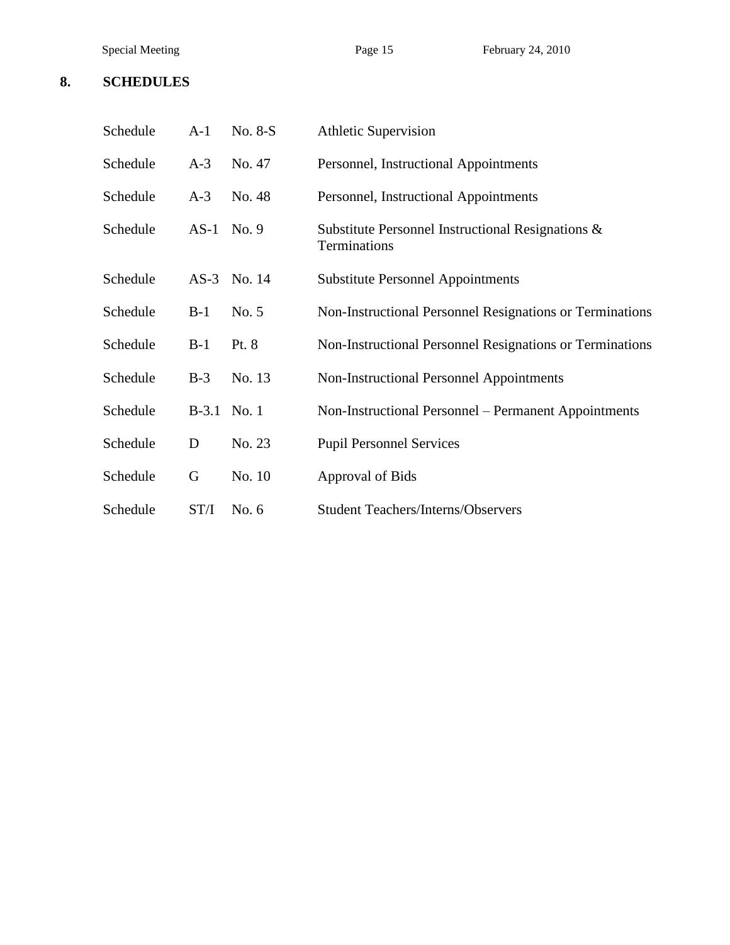#### **8. SCHEDULES**

| Schedule | $A-1$   | No. 8-S | <b>Athletic Supervision</b>                                       |
|----------|---------|---------|-------------------------------------------------------------------|
| Schedule | $A-3$   | No. 47  | Personnel, Instructional Appointments                             |
| Schedule | $A-3$   | No. 48  | Personnel, Instructional Appointments                             |
| Schedule | $AS-1$  | No. 9   | Substitute Personnel Instructional Resignations &<br>Terminations |
| Schedule | $AS-3$  | No. 14  | <b>Substitute Personnel Appointments</b>                          |
| Schedule | $B-1$   | No. 5   | Non-Instructional Personnel Resignations or Terminations          |
| Schedule | $B-1$   | Pt. 8   | Non-Instructional Personnel Resignations or Terminations          |
| Schedule | $B-3$   | No. 13  | <b>Non-Instructional Personnel Appointments</b>                   |
| Schedule | $B-3.1$ | No.1    | Non-Instructional Personnel – Permanent Appointments              |
| Schedule | D       | No. 23  | <b>Pupil Personnel Services</b>                                   |
| Schedule | G       | No. 10  | Approval of Bids                                                  |
| Schedule | ST/I    | No. $6$ | <b>Student Teachers/Interns/Observers</b>                         |